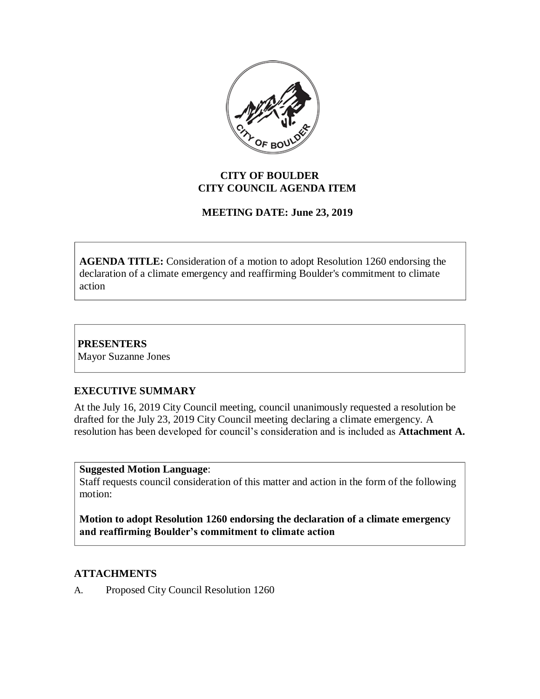

## **CITY OF BOULDER CITY COUNCIL AGENDA ITEM**

# **MEETING DATE: June 23, 2019**

**AGENDA TITLE:** Consideration of a motion to adopt Resolution 1260 endorsing the declaration of a climate emergency and reaffirming Boulder's commitment to climate action

**PRESENTERS** Mayor Suzanne Jones

## **EXECUTIVE SUMMARY**

At the July 16, 2019 City Council meeting, council unanimously requested a resolution be drafted for the July 23, 2019 City Council meeting declaring a climate emergency. A resolution has been developed for council's consideration and is included as **Attachment A.**

**Suggested Motion Language**:

Staff requests council consideration of this matter and action in the form of the following motion:

**Motion to adopt Resolution 1260 endorsing the declaration of a climate emergency and reaffirming Boulder's commitment to climate action**

## **ATTACHMENTS**

A. Proposed City Council Resolution 1260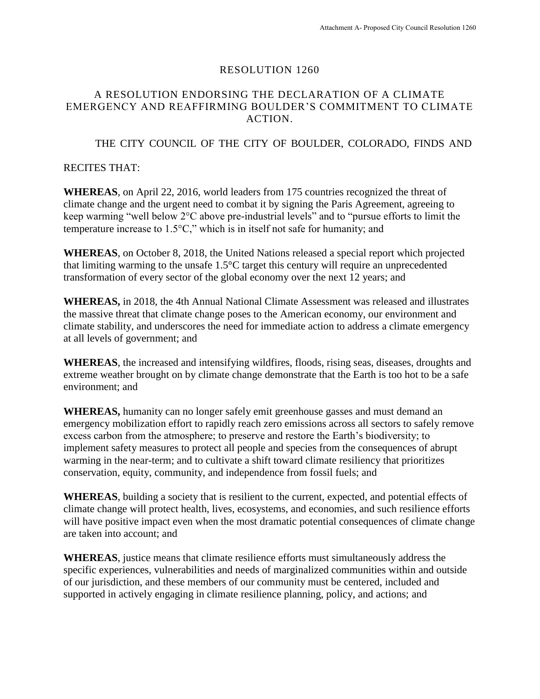#### RESOLUTION 1260

## A RESOLUTION ENDORSING THE DECLARATION OF A CLIMATE EMERGENCY AND REAFFIRMING BOULDER'S COMMITMENT TO CLIMATE ACTION.

### THE CITY COUNCIL OF THE CITY OF BOULDER, COLORADO, FINDS AND

### RECITES THAT:

**WHEREAS**, on April 22, 2016, world leaders from 175 countries recognized the threat of climate change and the urgent need to combat it by signing the Paris Agreement, agreeing to keep warming "well below 2°C above pre-industrial levels" and to "pursue efforts to limit the temperature increase to 1.5°C," which is in itself not safe for humanity; and

**WHEREAS**, on October 8, 2018, the United Nations released a special report which projected that limiting warming to the unsafe 1.5°C target this century will require an unprecedented transformation of every sector of the global economy over the next 12 years; and

**WHEREAS,** in 2018, the 4th Annual National Climate Assessment was released and illustrates the massive threat that climate change poses to the American economy, our environment and climate stability, and underscores the need for immediate action to address a climate emergency at all levels of government; and

**WHEREAS**, the increased and intensifying wildfires, floods, rising seas, diseases, droughts and extreme weather brought on by climate change demonstrate that the Earth is too hot to be a safe environment; and

**WHEREAS,** humanity can no longer safely emit greenhouse gasses and must demand an emergency mobilization effort to rapidly reach zero emissions across all sectors to safely remove excess carbon from the atmosphere; to preserve and restore the Earth's biodiversity; to implement safety measures to protect all people and species from the consequences of abrupt warming in the near-term; and to cultivate a shift toward climate resiliency that prioritizes conservation, equity, community, and independence from fossil fuels; and

**WHEREAS**, building a society that is resilient to the current, expected, and potential effects of climate change will protect health, lives, ecosystems, and economies, and such resilience efforts will have positive impact even when the most dramatic potential consequences of climate change are taken into account; and

**WHEREAS**, justice means that climate resilience efforts must simultaneously address the specific experiences, vulnerabilities and needs of marginalized communities within and outside of our jurisdiction, and these members of our community must be centered, included and supported in actively engaging in climate resilience planning, policy, and actions; and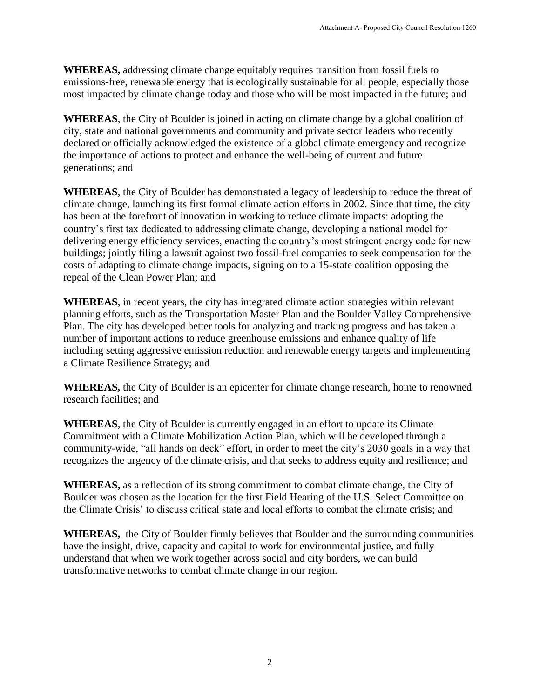**WHEREAS,** addressing climate change equitably requires transition from fossil fuels to emissions-free, renewable energy that is ecologically sustainable for all people, especially those most impacted by climate change today and those who will be most impacted in the future; and

**WHEREAS**, the City of Boulder is joined in acting on climate change by a global coalition of city, state and national governments and community and private sector leaders who recently declared or officially acknowledged the existence of a global climate emergency and recognize the importance of actions to protect and enhance the well-being of current and future generations; and

**WHEREAS**, the City of Boulder has demonstrated a legacy of leadership to reduce the threat of climate change, launching its first formal climate action efforts in 2002. Since that time, the city has been at the forefront of innovation in working to reduce climate impacts: adopting the country's first tax dedicated to addressing climate change, developing a national model for delivering energy efficiency services, enacting the country's most stringent energy code for new buildings; jointly filing a lawsuit against two fossil-fuel companies to seek compensation for the costs of adapting to climate change impacts, signing on to a 15-state coalition opposing the repeal of the Clean Power Plan; and

**WHEREAS**, in recent years, the city has integrated climate action strategies within relevant planning efforts, such as the Transportation Master Plan and the Boulder Valley Comprehensive Plan. The city has developed better tools for analyzing and tracking progress and has taken a number of important actions to reduce greenhouse emissions and enhance quality of life including setting aggressive emission reduction and renewable energy targets and implementing a Climate Resilience Strategy; and

**WHEREAS,** the City of Boulder is an epicenter for climate change research, home to renowned research facilities; and

**WHEREAS**, the City of Boulder is currently engaged in an effort to update its Climate Commitment with a Climate Mobilization Action Plan, which will be developed through a community-wide, "all hands on deck" effort, in order to meet the city's 2030 goals in a way that recognizes the urgency of the climate crisis, and that seeks to address equity and resilience; and

**WHEREAS,** as a reflection of its strong commitment to combat climate change, the City of Boulder was chosen as the location for the first Field Hearing of the U.S. Select Committee on the Climate Crisis' to discuss critical state and local efforts to combat the climate crisis; and

**WHEREAS,** the City of Boulder firmly believes that Boulder and the surrounding communities have the insight, drive, capacity and capital to work for environmental justice, and fully understand that when we work together across social and city borders, we can build transformative networks to combat climate change in our region.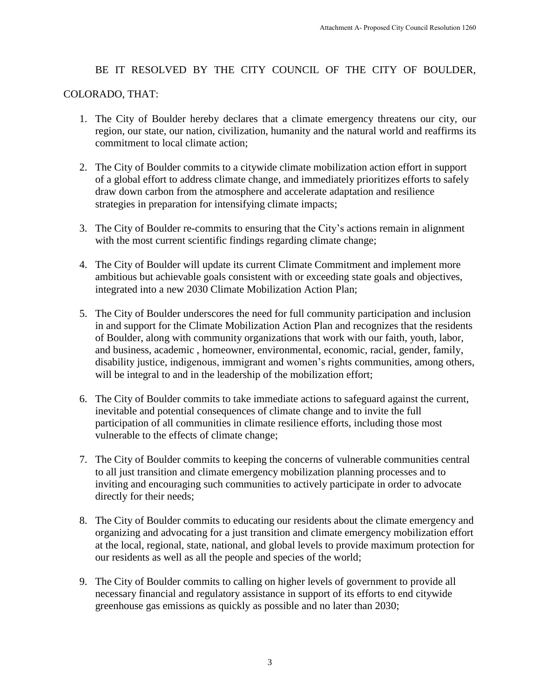## BE IT RESOLVED BY THE CITY COUNCIL OF THE CITY OF BOULDER,

### COLORADO, THAT:

- 1. The City of Boulder hereby declares that a climate emergency threatens our city, our region, our state, our nation, civilization, humanity and the natural world and reaffirms its commitment to local climate action;
- 2. The City of Boulder commits to a citywide climate mobilization action effort in support of a global effort to address climate change, and immediately prioritizes efforts to safely draw down carbon from the atmosphere and accelerate adaptation and resilience strategies in preparation for intensifying climate impacts;
- 3. The City of Boulder re-commits to ensuring that the City's actions remain in alignment with the most current scientific findings regarding climate change;
- 4. The City of Boulder will update its current Climate Commitment and implement more ambitious but achievable goals consistent with or exceeding state goals and objectives, integrated into a new 2030 Climate Mobilization Action Plan;
- 5. The City of Boulder underscores the need for full community participation and inclusion in and support for the Climate Mobilization Action Plan and recognizes that the residents of Boulder, along with community organizations that work with our faith, youth, labor, and business, academic , homeowner, environmental, economic, racial, gender, family, disability justice, indigenous, immigrant and women's rights communities, among others, will be integral to and in the leadership of the mobilization effort;
- 6. The City of Boulder commits to take immediate actions to safeguard against the current, inevitable and potential consequences of climate change and to invite the full participation of all communities in climate resilience efforts, including those most vulnerable to the effects of climate change;
- 7. The City of Boulder commits to keeping the concerns of vulnerable communities central to all just transition and climate emergency mobilization planning processes and to inviting and encouraging such communities to actively participate in order to advocate directly for their needs;
- 8. The City of Boulder commits to educating our residents about the climate emergency and organizing and advocating for a just transition and climate emergency mobilization effort at the local, regional, state, national, and global levels to provide maximum protection for our residents as well as all the people and species of the world;
- 9. The City of Boulder commits to calling on higher levels of government to provide all necessary financial and regulatory assistance in support of its efforts to end citywide greenhouse gas emissions as quickly as possible and no later than 2030;